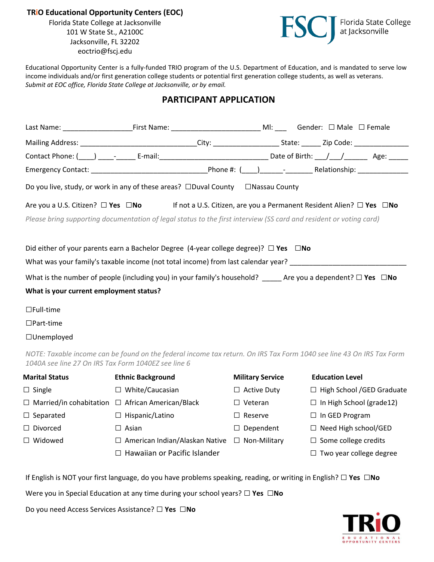**TRiO Educational Opportunity Centers (EOC)**

Florida State College at Jacksonville 101 W State St., A2100C Jacksonville, FL 32202 eoctrio@fscj.edu



Educational Opportunity Center is a fully-funded TRIO program of the U.S. Department of Education, and is mandated to serve low income individuals and/or first generation college students or potential first generation college students, as well as veterans. *Submit at EOC office, Florida State College at Jacksonville, or by email.*

## **PARTICIPANT APPLICATION**

|                                                                                                                    | Do you live, study, or work in any of these areas? $\Box$ Duval County $\Box$ Nassau County     |                                                                                                                              |  |
|--------------------------------------------------------------------------------------------------------------------|-------------------------------------------------------------------------------------------------|------------------------------------------------------------------------------------------------------------------------------|--|
|                                                                                                                    |                                                                                                 | Are you a U.S. Citizen? $\Box$ Yes $\Box$ No If not a U.S. Citizen, are you a Permanent Resident Alien? $\Box$ Yes $\Box$ No |  |
| Please bring supporting documentation of legal status to the first interview (SS card and resident or voting card) |                                                                                                 |                                                                                                                              |  |
|                                                                                                                    |                                                                                                 |                                                                                                                              |  |
|                                                                                                                    | Did either of your parents earn a Bachelor Degree (4-year college degree)? $\Box$ Yes $\Box$ No |                                                                                                                              |  |
|                                                                                                                    |                                                                                                 | What was your family's taxable income (not total income) from last calendar year?                                            |  |
|                                                                                                                    |                                                                                                 | What is the number of people (including you) in your family's household? Are you a dependent? $\square$ Yes $\square$ No     |  |
| What is your current employment status?                                                                            |                                                                                                 |                                                                                                                              |  |
| $\Box$ Full-time                                                                                                   |                                                                                                 |                                                                                                                              |  |
| $\Box$ Part-time                                                                                                   |                                                                                                 |                                                                                                                              |  |
| $\Box$ Unemployed                                                                                                  |                                                                                                 |                                                                                                                              |  |

*NOTE: Taxable income can be found on the federal income tax return. On IRS Tax Form 1040 see line 43 On IRS Tax Form 1040A see line 27 On IRS Tax Form 1040EZ see line 6* 

| <b>Marital Status</b>                                        | <b>Ethnic Background</b>              | <b>Military Service</b> | <b>Education Level</b>            |
|--------------------------------------------------------------|---------------------------------------|-------------------------|-----------------------------------|
| $\Box$ Single                                                | $\Box$ White/Caucasian                | $\Box$ Active Duty      | $\Box$ High School / GED Graduate |
| $\Box$ Married/in cohabitation $\Box$ African American/Black |                                       | $\Box$ Veteran          | $\Box$ In High School (grade 12)  |
| $\Box$ Separated                                             | $\Box$ Hispanic/Latino                | $\Box$ Reserve          | $\Box$ In GED Program             |
| $\Box$ Divorced                                              | $\Box$ Asian                          | $\Box$ Dependent        | $\Box$ Need High school/GED       |
| $\Box$ Widowed                                               | $\Box$ American Indian/Alaskan Native | $\Box$ Non-Military     | $\Box$ Some college credits       |
|                                                              | $\Box$ Hawaiian or Pacific Islander   |                         | Two year college degree           |
|                                                              |                                       |                         |                                   |

If English is NOT your first language, do you have problems speaking, reading, or writing in English? **□ Yes □No**

Were you in Special Education at any time during your school years? **□ Yes □No**

Do you need Access Services Assistance? **□ Yes □No**